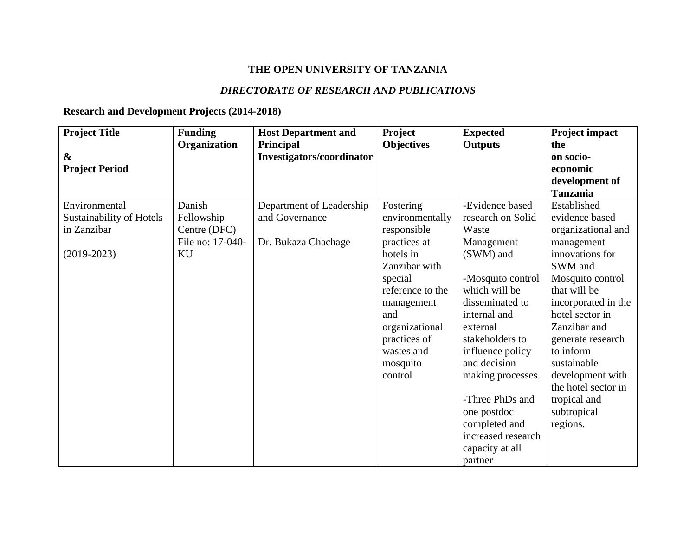## **THE OPEN UNIVERSITY OF TANZANIA**

## *DIRECTORATE OF RESEARCH AND PUBLICATIONS*

## **Research and Development Projects (2014-2018)**

| <b>Project Title</b>     | <b>Funding</b>   | <b>Host Department and</b>                    | Project           | <b>Expected</b>    | Project impact      |
|--------------------------|------------------|-----------------------------------------------|-------------------|--------------------|---------------------|
| $\boldsymbol{\&}$        | Organization     | Principal<br><b>Investigators/coordinator</b> | <b>Objectives</b> | <b>Outputs</b>     | the<br>on socio-    |
| <b>Project Period</b>    |                  |                                               |                   |                    | economic            |
|                          |                  |                                               |                   |                    | development of      |
|                          |                  |                                               |                   |                    | <b>Tanzania</b>     |
| Environmental            | Danish           | Department of Leadership                      | Fostering         | -Evidence based    | Established         |
| Sustainability of Hotels | Fellowship       | and Governance                                | environmentally   | research on Solid  | evidence based      |
| in Zanzibar              | Centre (DFC)     |                                               | responsible       | Waste              | organizational and  |
|                          | File no: 17-040- | Dr. Bukaza Chachage                           | practices at      | Management         | management          |
| $(2019 - 2023)$          | KU               |                                               | hotels in         | (SWM) and          | innovations for     |
|                          |                  |                                               | Zanzibar with     |                    | SWM and             |
|                          |                  |                                               | special           | -Mosquito control  | Mosquito control    |
|                          |                  |                                               | reference to the  | which will be      | that will be        |
|                          |                  |                                               | management        | disseminated to    | incorporated in the |
|                          |                  |                                               | and               | internal and       | hotel sector in     |
|                          |                  |                                               | organizational    | external           | Zanzibar and        |
|                          |                  |                                               | practices of      | stakeholders to    | generate research   |
|                          |                  |                                               | wastes and        | influence policy   | to inform           |
|                          |                  |                                               | mosquito          | and decision       | sustainable         |
|                          |                  |                                               | control           | making processes.  | development with    |
|                          |                  |                                               |                   |                    | the hotel sector in |
|                          |                  |                                               |                   | -Three PhDs and    | tropical and        |
|                          |                  |                                               |                   | one postdoc        | subtropical         |
|                          |                  |                                               |                   | completed and      | regions.            |
|                          |                  |                                               |                   | increased research |                     |
|                          |                  |                                               |                   | capacity at all    |                     |
|                          |                  |                                               |                   | partner            |                     |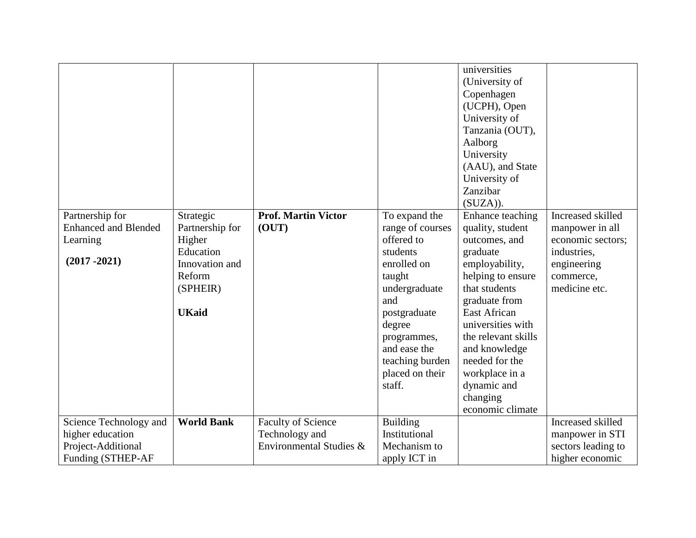|                                                                                       |                                                                                                             |                                                                        |                                                                                                                                                                                                                       | universities<br>(University of<br>Copenhagen<br>(UCPH), Open<br>University of<br>Tanzania (OUT),<br>Aalborg<br>University<br>(AAU), and State<br>University of<br>Zanzibar<br>(SUZA)).                                                                                                                            |                                                                                                                       |
|---------------------------------------------------------------------------------------|-------------------------------------------------------------------------------------------------------------|------------------------------------------------------------------------|-----------------------------------------------------------------------------------------------------------------------------------------------------------------------------------------------------------------------|-------------------------------------------------------------------------------------------------------------------------------------------------------------------------------------------------------------------------------------------------------------------------------------------------------------------|-----------------------------------------------------------------------------------------------------------------------|
| Partnership for<br><b>Enhanced and Blended</b><br>Learning<br>$(2017 - 2021)$         | Strategic<br>Partnership for<br>Higher<br>Education<br>Innovation and<br>Reform<br>(SPHEIR)<br><b>UKaid</b> | <b>Prof. Martin Victor</b><br>(OUT)                                    | To expand the<br>range of courses<br>offered to<br>students<br>enrolled on<br>taught<br>undergraduate<br>and<br>postgraduate<br>degree<br>programmes,<br>and ease the<br>teaching burden<br>placed on their<br>staff. | Enhance teaching<br>quality, student<br>outcomes, and<br>graduate<br>employability,<br>helping to ensure<br>that students<br>graduate from<br><b>East African</b><br>universities with<br>the relevant skills<br>and knowledge<br>needed for the<br>workplace in a<br>dynamic and<br>changing<br>economic climate | Increased skilled<br>manpower in all<br>economic sectors;<br>industries,<br>engineering<br>commerce,<br>medicine etc. |
| Science Technology and<br>higher education<br>Project-Additional<br>Funding (STHEP-AF | <b>World Bank</b>                                                                                           | <b>Faculty of Science</b><br>Technology and<br>Environmental Studies & | <b>Building</b><br>Institutional<br>Mechanism to<br>apply ICT in                                                                                                                                                      |                                                                                                                                                                                                                                                                                                                   | Increased skilled<br>manpower in STI<br>sectors leading to<br>higher economic                                         |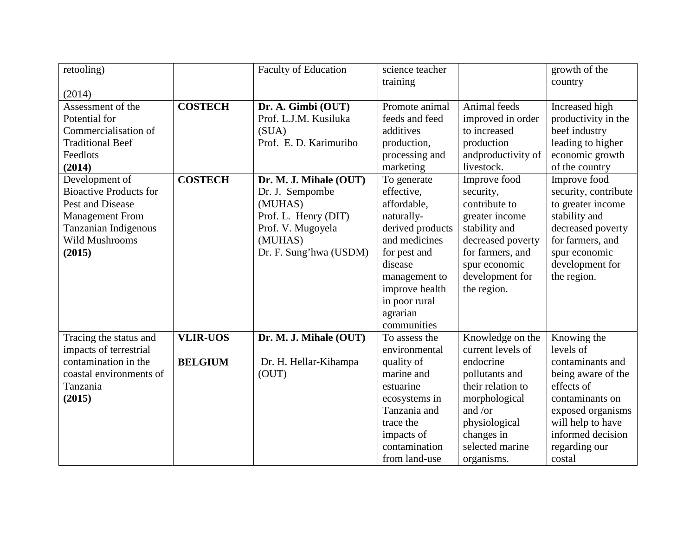| retooling)                                | <b>Faculty of Education</b> | science teacher  |                    | growth of the        |
|-------------------------------------------|-----------------------------|------------------|--------------------|----------------------|
|                                           |                             | training         |                    | country              |
| (2014)                                    |                             |                  |                    |                      |
| <b>COSTECH</b><br>Assessment of the       | Dr. A. Gimbi (OUT)          | Promote animal   | Animal feeds       | Increased high       |
| Potential for                             | Prof. L.J.M. Kusiluka       | feeds and feed   | improved in order  | productivity in the  |
| Commercialisation of                      | (SUA)                       | additives        | to increased       | beef industry        |
| <b>Traditional Beef</b>                   | Prof. E. D. Karimuribo      | production,      | production         | leading to higher    |
| Feedlots                                  |                             | processing and   | andproductivity of | economic growth      |
| (2014)                                    |                             | marketing        | livestock.         | of the country       |
| <b>COSTECH</b><br>Development of          | Dr. M. J. Mihale (OUT)      | To generate      | Improve food       | Improve food         |
| <b>Bioactive Products for</b>             | Dr. J. Sempombe             | effective,       | security,          | security, contribute |
| Pest and Disease                          | (MUHAS)                     | affordable,      | contribute to      | to greater income    |
| <b>Management From</b>                    | Prof. L. Henry (DIT)        | naturally-       | greater income     | stability and        |
| Tanzanian Indigenous                      | Prof. V. Mugoyela           | derived products | stability and      | decreased poverty    |
| <b>Wild Mushrooms</b>                     | (MUHAS)                     | and medicines    | decreased poverty  | for farmers, and     |
| (2015)                                    | Dr. F. Sung'hwa (USDM)      | for pest and     | for farmers, and   | spur economic        |
|                                           |                             | disease          | spur economic      | development for      |
|                                           |                             | management to    | development for    | the region.          |
|                                           |                             | improve health   | the region.        |                      |
|                                           |                             | in poor rural    |                    |                      |
|                                           |                             | agrarian         |                    |                      |
|                                           |                             | communities      |                    |                      |
| <b>VLIR-UOS</b><br>Tracing the status and | Dr. M. J. Mihale (OUT)      | To assess the    | Knowledge on the   | Knowing the          |
| impacts of terrestrial                    |                             | environmental    | current levels of  | levels of            |
| contamination in the<br><b>BELGIUM</b>    | Dr. H. Hellar-Kihampa       | quality of       | endocrine          | contaminants and     |
| coastal environments of                   | (OUT)                       | marine and       | pollutants and     | being aware of the   |
| Tanzania                                  |                             | estuarine        | their relation to  | effects of           |
| (2015)                                    |                             | ecosystems in    | morphological      | contaminants on      |
|                                           |                             | Tanzania and     | and /or            | exposed organisms    |
|                                           |                             | trace the        | physiological      | will help to have    |
|                                           |                             | impacts of       | changes in         | informed decision    |
|                                           |                             | contamination    | selected marine    | regarding our        |
|                                           |                             | from land-use    | organisms.         | costal               |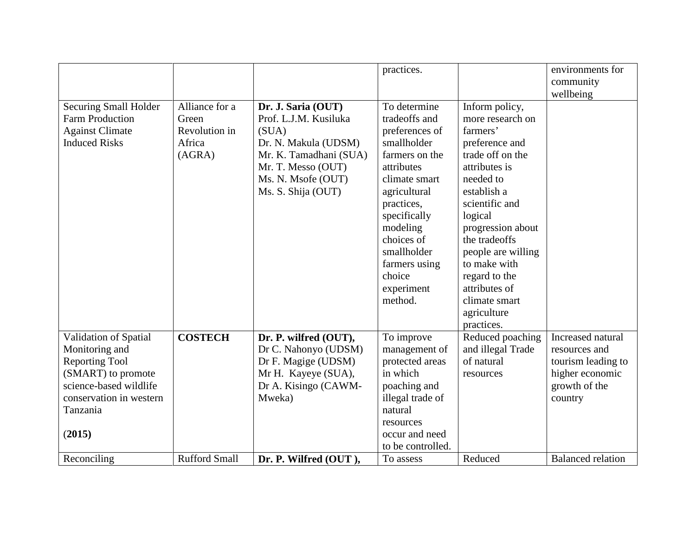|                         |                      |                        | practices.        |                    | environments for         |
|-------------------------|----------------------|------------------------|-------------------|--------------------|--------------------------|
|                         |                      |                        |                   |                    | community                |
|                         |                      |                        |                   |                    | wellbeing                |
| Securing Small Holder   | Alliance for a       | Dr. J. Saria (OUT)     | To determine      | Inform policy,     |                          |
| <b>Farm Production</b>  | Green                | Prof. L.J.M. Kusiluka  | tradeoffs and     | more research on   |                          |
| <b>Against Climate</b>  | Revolution in        | (SUA)                  | preferences of    | farmers'           |                          |
| <b>Induced Risks</b>    | Africa               | Dr. N. Makula (UDSM)   | smallholder       | preference and     |                          |
|                         | (AGRA)               | Mr. K. Tamadhani (SUA) | farmers on the    | trade off on the   |                          |
|                         |                      | Mr. T. Messo (OUT)     | attributes        | attributes is      |                          |
|                         |                      | Ms. N. Msofe (OUT)     | climate smart     | needed to          |                          |
|                         |                      | Ms. S. Shija (OUT)     | agricultural      | establish a        |                          |
|                         |                      |                        | practices,        | scientific and     |                          |
|                         |                      |                        | specifically      | logical            |                          |
|                         |                      |                        | modeling          | progression about  |                          |
|                         |                      |                        | choices of        | the tradeoffs      |                          |
|                         |                      |                        | smallholder       | people are willing |                          |
|                         |                      |                        | farmers using     | to make with       |                          |
|                         |                      |                        | choice            | regard to the      |                          |
|                         |                      |                        | experiment        | attributes of      |                          |
|                         |                      |                        | method.           | climate smart      |                          |
|                         |                      |                        |                   | agriculture        |                          |
|                         |                      |                        |                   | practices.         |                          |
| Validation of Spatial   | <b>COSTECH</b>       | Dr. P. wilfred (OUT),  | To improve        | Reduced poaching   | Increased natural        |
| Monitoring and          |                      | Dr C. Nahonyo (UDSM)   | management of     | and illegal Trade  | resources and            |
| <b>Reporting Tool</b>   |                      | Dr F. Magige (UDSM)    | protected areas   | of natural         | tourism leading to       |
| (SMART) to promote      |                      | Mr H. Kayeye (SUA),    | in which          | resources          | higher economic          |
| science-based wildlife  |                      | Dr A. Kisingo (CAWM-   | poaching and      |                    | growth of the            |
| conservation in western |                      | Mweka)                 | illegal trade of  |                    | country                  |
| Tanzania                |                      |                        | natural           |                    |                          |
|                         |                      |                        | resources         |                    |                          |
| (2015)                  |                      |                        | occur and need    |                    |                          |
|                         |                      |                        | to be controlled. |                    |                          |
| Reconciling             | <b>Rufford Small</b> | Dr. P. Wilfred (OUT),  | To assess         | Reduced            | <b>Balanced</b> relation |